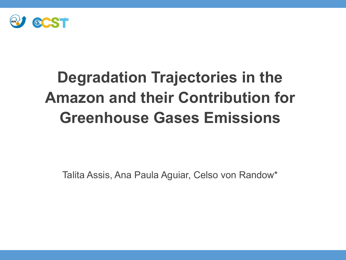

# **Degradation Trajectories in the Amazon and their Contribution for Greenhouse Gases Emissions**

Talita Assis, Ana Paula Aguiar, Celso von Randow\*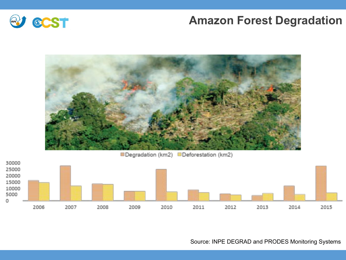#### **Amazon Forest Degradation**





**EDegradation (km2) EDeforestation (km2)** 



Source: INPE DEGRAD and PRODES Monitoring Systems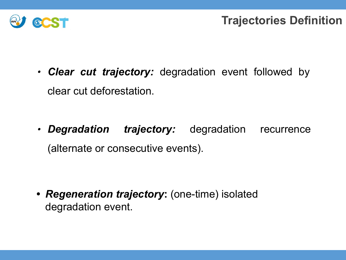

∙ *Clear cut trajectory:* degradation event followed by clear cut deforestation.

∙ *Degradation trajectory:* degradation recurrence (alternate or consecutive events).

*• Regeneration trajectory***:** (one-time) isolated degradation event.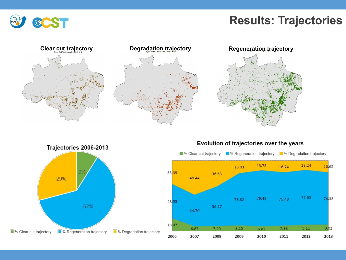

#### **Results: Trajectories**





Evolution of trajectories over the years

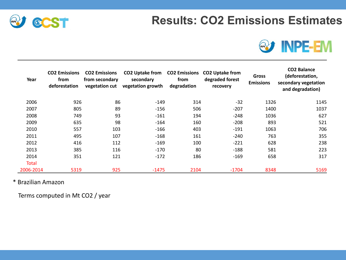### **Results: CO2 Emissions Estimates**





| Year         | <b>CO2 Emissions</b><br>from<br>deforestation | <b>CO2 Emissions</b><br>from secondary<br>vegetation cut | <b>CO2 Uptake from</b><br>secondary<br>vegetation growth | <b>CO2 Emissions</b><br>from<br>degradation | <b>CO2 Uptake from</b><br>degraded forest<br>recovery | <b>Gross</b><br><b>Emissions</b> | <b>CO2 Balance</b><br>(deforestation,<br>secondary vegetation<br>and degradation) |
|--------------|-----------------------------------------------|----------------------------------------------------------|----------------------------------------------------------|---------------------------------------------|-------------------------------------------------------|----------------------------------|-----------------------------------------------------------------------------------|
| 2006         | 926                                           | 86                                                       | $-149$                                                   | 314                                         | $-32$                                                 | 1326                             | 1145                                                                              |
| 2007         | 805                                           | 89                                                       | $-156$                                                   | 506                                         | $-207$                                                | 1400                             | 1037                                                                              |
| 2008         | 749                                           | 93                                                       | $-161$                                                   | 194                                         | $-248$                                                | 1036                             | 627                                                                               |
| 2009         | 635                                           | 98                                                       | $-164$                                                   | 160                                         | $-208$                                                | 893                              | 521                                                                               |
| 2010         | 557                                           | 103                                                      | $-166$                                                   | 403                                         | $-191$                                                | 1063                             | 706                                                                               |
| 2011         | 495                                           | 107                                                      | $-168$                                                   | 161                                         | $-240$                                                | 763                              | 355                                                                               |
| 2012         | 416                                           | 112                                                      | $-169$                                                   | 100                                         | $-221$                                                | 628                              | 238                                                                               |
| 2013         | 385                                           | 116                                                      | $-170$                                                   | 80                                          | $-188$                                                | 581                              | 223                                                                               |
| 2014         | 351                                           | 121                                                      | $-172$                                                   | 186                                         | $-169$                                                | 658                              | 317                                                                               |
| <b>Total</b> |                                               |                                                          |                                                          |                                             |                                                       |                                  |                                                                                   |
| 2006-2014    | 5319                                          | 925                                                      | $-1475$                                                  | 2104                                        | $-1704$                                               | 8348                             | 5169                                                                              |

#### \* Brazilian Amazon

Terms computed in Mt CO2 / year